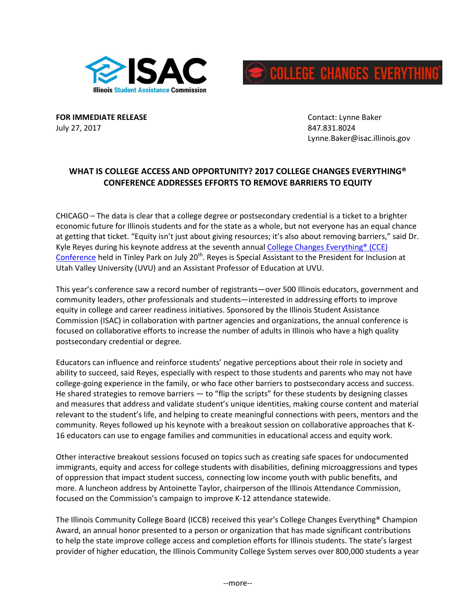



**FOR IMMEDIATE RELEASE CONTACT EXECUTES CONTACT**: Lynne Baker July 27, 2017 847.831.8024

Lynne.Baker@isac.illinois.gov

## **WHAT IS COLLEGE ACCESS AND OPPORTUNITY? 2017 COLLEGE CHANGES EVERYTHING® CONFERENCE ADDRESSES EFFORTS TO REMOVE BARRIERS TO EQUITY**

CHICAGO – The data is clear that a college degree or postsecondary credential is a ticket to a brighter economic future for Illinois students and for the state as a whole, but not everyone has an equal chance at getting that ticket. "Equity isn't just about giving resources; it's also about removing barriers," said Dr. Kyle Reyes during his keynote address at the seventh annual [College Changes Everything®](http://www.collegechangeseverything.org/events/2017-cce-conference-information.html) (CCE) [Conference](http://www.collegechangeseverything.org/events/2017-cce-conference-information.html) held in Tinley Park on July 20<sup>th</sup>. Reyes is Special Assistant to the President for Inclusion at Utah Valley University (UVU) and an Assistant Professor of Education at UVU.

This year's conference saw a record number of registrants—over 500 Illinois educators, government and community leaders, other professionals and students—interested in addressing efforts to improve equity in college and career readiness initiatives. Sponsored by the Illinois Student Assistance Commission (ISAC) in collaboration with partner agencies and organizations, the annual conference is focused on collaborative efforts to increase the number of adults in Illinois who have a high quality postsecondary credential or degree.

Educators can influence and reinforce students' negative perceptions about their role in society and ability to succeed, said Reyes, especially with respect to those students and parents who may not have college-going experience in the family, or who face other barriers to postsecondary access and success. He shared strategies to remove barriers  $-$  to "flip the scripts" for these students by designing classes and measures that address and validate student's unique identities, making course content and material relevant to the student's life, and helping to create meaningful connections with peers, mentors and the community. Reyes followed up his keynote with a breakout session on collaborative approaches that K-16 educators can use to engage families and communities in educational access and equity work.

Other interactive breakout sessions focused on topics such as creating safe spaces for undocumented immigrants, equity and access for college students with disabilities, defining microaggressions and types of oppression that impact student success, connecting low income youth with public benefits, and more. A luncheon address by Antoinette Taylor, chairperson of the Illinois Attendance Commission, focused on the Commission's campaign to improve K-12 attendance statewide.

The Illinois Community College Board (ICCB) received this year's College Changes Everything® Champion Award, an annual honor presented to a person or organization that has made significant contributions to help the state improve college access and completion efforts for Illinois students. The state's largest provider of higher education, the Illinois Community College System serves over 800,000 students a year